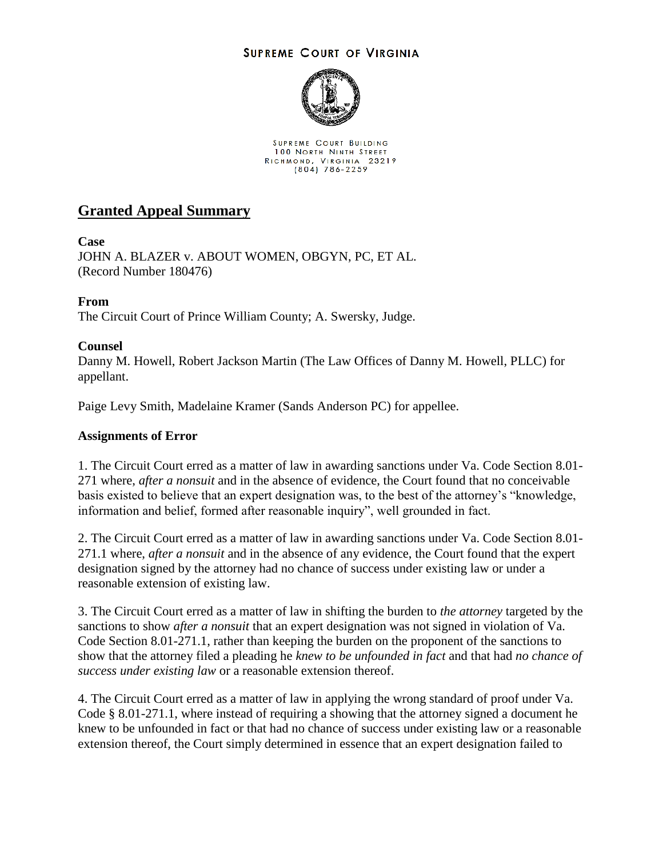## **SUPREME COURT OF VIRGINIA**



SUPREME COURT BUILDING 100 NORTH NINTH STREET RICHMOND, VIRGINIA 23219<br>(804) 786-2259

# **Granted Appeal Summary**

## **Case**

JOHN A. BLAZER v. ABOUT WOMEN, OBGYN, PC, ET AL. (Record Number 180476)

## **From**

The Circuit Court of Prince William County; A. Swersky, Judge.

## **Counsel**

Danny M. Howell, Robert Jackson Martin (The Law Offices of Danny M. Howell, PLLC) for appellant.

Paige Levy Smith, Madelaine Kramer (Sands Anderson PC) for appellee.

#### **Assignments of Error**

1. The Circuit Court erred as a matter of law in awarding sanctions under Va. Code Section 8.01- 271 where, *after a nonsuit* and in the absence of evidence, the Court found that no conceivable basis existed to believe that an expert designation was, to the best of the attorney's "knowledge, information and belief, formed after reasonable inquiry", well grounded in fact.

2. The Circuit Court erred as a matter of law in awarding sanctions under Va. Code Section 8.01- 271.1 where, *after a nonsuit* and in the absence of any evidence, the Court found that the expert designation signed by the attorney had no chance of success under existing law or under a reasonable extension of existing law.

3. The Circuit Court erred as a matter of law in shifting the burden to *the attorney* targeted by the sanctions to show *after a nonsuit* that an expert designation was not signed in violation of Va. Code Section 8.01-271.1, rather than keeping the burden on the proponent of the sanctions to show that the attorney filed a pleading he *knew to be unfounded in fact* and that had *no chance of success under existing law* or a reasonable extension thereof.

4. The Circuit Court erred as a matter of law in applying the wrong standard of proof under Va. Code § 8.01-271.1, where instead of requiring a showing that the attorney signed a document he knew to be unfounded in fact or that had no chance of success under existing law or a reasonable extension thereof, the Court simply determined in essence that an expert designation failed to